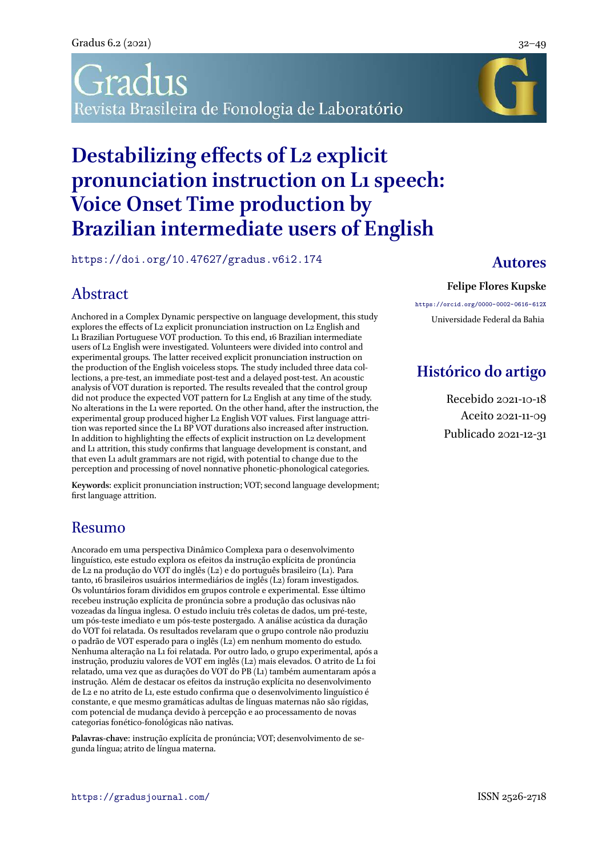# radus Revista Brasileira de Fonologia de Laboratório

# **Destabilizing effects of L2 explicit pronunciation instruction on L1 speech: Voice Onset Time production by Brazilian intermediate users of English**

<https://doi.org/10.47627/gradus.v6i2.174> **Autores**

### Abstract

Anchored in a Complex Dynamic perspective on language development, this study explores the effects of L2 explicit pronunciation instruction on L2 English and L1 Brazilian Portuguese VOT production. To this end, 16 Brazilian intermediate users of L2 English were investigated. Volunteers were divided into control and experimental groups. The latter received explicit pronunciation instruction on the production of the English voiceless stops. The study included three data collections, a pre-test, an immediate post-test and a delayed post-test. An acoustic analysis of VOT duration is reported. The results revealed that the control group did not produce the expected VOT pattern for L<sub>2</sub> English at any time of the study. No alterations in the L1 were reported. On the other hand, after the instruction, the experimental group produced higher L2 English VOT values. First language attrition was reported since the L1 BP VOT durations also increased after instruction. In addition to highlighting the effects of explicit instruction on L2 development and L1 attrition, this study confirms that language development is constant, and that even L1 adult grammars are not rigid, with potential to change due to the perception and processing of novel nonnative phonetic-phonological categories.

**Keywords**: explicit pronunciation instruction; VOT; second language development; first language attrition.

### Resumo

Ancorado em uma perspectiva Dinâmico Complexa para o desenvolvimento linguístico, este estudo explora os efeitos da instrução explícita de pronúncia de L2 na produção do VOT do inglês (L2) e do português brasileiro (L1). Para tanto, 16 brasileiros usuários intermediários de inglês (L2) foram investigados. Os voluntários foram divididos em grupos controle e experimental. Esse último recebeu instrução explícita de pronúncia sobre a produção das oclusivas não vozeadas da língua inglesa. O estudo incluiu três coletas de dados, um pré-teste, um pós-teste imediato e um pós-teste postergado. A análise acústica da duração do VOT foi relatada. Os resultados revelaram que o grupo controle não produziu o padrão de VOT esperado para o inglês (L2) em nenhum momento do estudo. Nenhuma alteração na L1 foi relatada. Por outro lado, o grupo experimental, após a instrução, produziu valores de VOT em inglês (L2) mais elevados. O atrito de L1 foi relatado, uma vez que as durações do VOT do PB (L1) também aumentaram após a instrução. Além de destacar os efeitos da instrução explícita no desenvolvimento de L2 e no atrito de L1, este estudo confirma que o desenvolvimento linguístico é constante, e que mesmo gramáticas adultas de línguas maternas não são rígidas, com potencial de mudança devido à percepção e ao processamento de novas categorias fonético-fonológicas não nativas.

**Palavras-chave**: instrução explícita de pronúncia; VOT; desenvolvimento de segunda língua; atrito de língua materna.

#### **Felipe Flores Kupske**

<https://orcid.org/0000-0002-0616-612X> Universidade Federal da Bahia

### **Histórico do artigo**

Recebido 2021-10-18 Aceito 2021-11-09 Publicado 2021-12-31

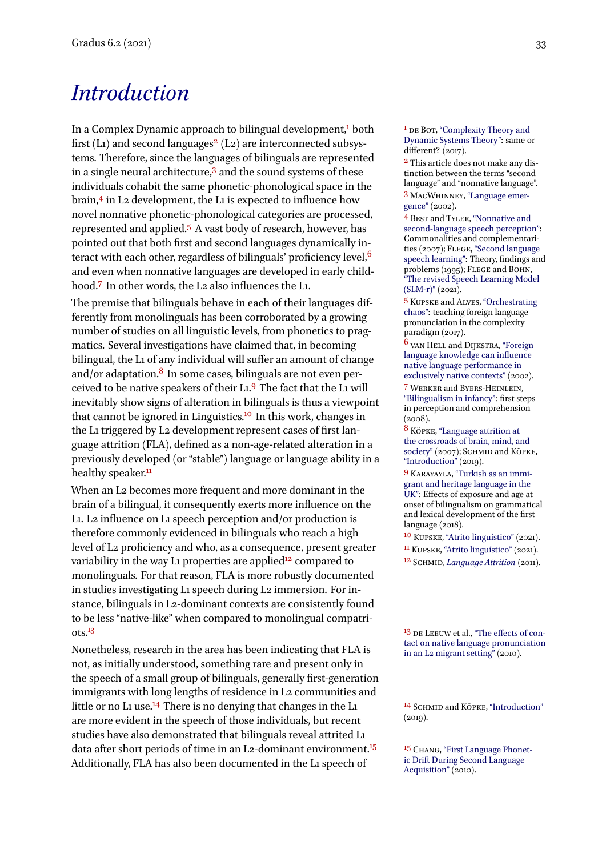### *Introduction*

In a Complex Dynamic approach to bilingual development,<sup>1</sup> both  $1_{\text{DE}}$  Bor, ["Complexity Theory and](#page-15-0) first (L1) and second languages<sup>2</sup> (L2) are interconnected subsys-<br>the set of the second languages<sup>2</sup> (L2) are interconnected subsys-<br>different? (2017). tems. Therefore, since the languages of bilinguals are represented in a single neural architecture,<sup>3</sup> and the sound systems of these individuals cohabit the same phonetic-phonological space in the brain,<sup>4</sup> in L2 development, the L1 is expected to influence how novel nonnative phonetic-phonological categories are processed, represented and applied.<sup>5</sup> A vast body of research, however, has pointed out that both first and second languages dynamically interact with each other, regardless of bilinguals' proficiency level,  $6$ and even when nonnative languages are developed in early childhood.<sup>7</sup> In other words, the L2 also influences the L1.

The premise that bilinguals behave in each of their languages differently from monolinguals has been corroborated by a growing number of studies on all linguistic levels, from phonetics to pragmatics. Several investigations have claimed that, in becoming bilingual, the L1 of any individual will suffer an amount of change and/or adaptation.<sup>8</sup> In some cases, bilinguals are not even perceived to be native speakers of their L1.<sup>9</sup> The fact that the L1 will inevitably show signs of alteration in bilinguals is thus a viewpoint that cannot be ignored in Linguistics.<sup>10</sup> In this work, changes in the L1 triggered by L2 development represent cases of first language attrition (FLA), defined as a non-age-related alteration in a previously developed (or "stable") language or language ability in a healthy speaker.<sup>11</sup>

When an L2 becomes more frequent and more dominant in the brain of a bilingual, it consequently exerts more influence on the L1. L2 influence on L1 speech perception and/or production is therefore commonly evidenced in bilinguals who reach a high level of L2 proficiency and who, as a consequence, present greater variability in the way L1 properties are applied<sup>12</sup> compared to <sup>12</sup> SCHMID, *[Language Attrition](#page-17-3)* (2011). monolinguals. For that reason, FLA is more robustly documented in studies investigating L1 speech during L2 immersion. For instance, bilinguals in L2-dominant contexts are consistently found to be less "native-like" when compared to monolingual compatri- $\frac{13}{3}$  be Leeuw et al., "The effects of con-<br>National property is the contract of contact on native language pronunciation

Nonetheless, research in the area has been indicating that FLA is [in an L2 migrant setting"](#page-17-4) (2010). not, as initially understood, something rare and present only in the speech of a small group of bilinguals, generally first-generation immigrants with long lengths of residence in L<sub>2</sub> communities and little or no L1 use.<sup>14</sup> There is no denying that changes in the L1 <sup>14</sup> SCHMID and KÖPKE, ["Introduction"](#page-17-2)<br>are more evident in the speech of those individuals but recent (2019). are more evident in the speech of those individuals, but recent studies have also demonstrated that bilinguals reveal attrited L1 data after short periods of time in an L2-dominant environment.<sup>15</sup>  $_{15}$  C<sub>HANG</sub>, ["First Language Phonet-](#page-16-7)Additionally, FLA has also been documented in the L1 speech of  $\frac{\text{ic Drit During Seco}}{\text{Acquisition}^2(\text{2010})}$ 

[Dynamic Systems Theory"](#page-15-0): same or

2 This article does not make any distinction between the terms "second language" and "nonnative language". 3 MacWhinney, ["Language emer](#page-17-0)[gence"](#page-17-0) (2002).

4 Best and Tyler, ["Nonnative and](#page-15-1) [second-language speech perception"](#page-15-1): Commonalities and complementari-ties (2007); FLEGE, ["Second language](#page-16-0) [speech learning"](#page-16-0): Theory, findings and problems (1995); Flege and Bohn, ["The revised Speech Learning Model](#page-16-1) [\(SLM-r\)"](#page-16-1) (2021).

5 Kupske and Alves, ["Orchestrating](#page-16-2) [chaos":](#page-16-2) teaching foreign language pronunciation in the complexity paradigm (2017).

6 van Hell and Dijkstra, ["Foreign](#page-16-3) [language knowledge can influence](#page-16-3) [native language performance in](#page-16-3) [exclusively native contexts"](#page-16-3) (2002).

7 Werker and Byers-Heinlein, ["Bilingualism in infancy":](#page-17-1) first steps in perception and comprehension  $(2008).$ 

8 Köpke, ["Language attrition at](#page-16-4) [the crossroads of brain, mind, and](#page-16-4) [society"](#page-16-4) (2007); SCHMID and KÖPKE, ["Introduction"](#page-17-2) (2019).

9 Karayayla, ["Turkish as an immi](#page-16-5)[grant and heritage language in the](#page-16-5) [UK"](#page-16-5): Effects of exposure and age at onset of bilingualism on grammatical and lexical development of the first language (2018).

10 Kupske, ["Atrito linguístico"](#page-16-6) (2021). 11 Kupske, ["Atrito linguístico"](#page-16-6) (2021).

[ic Drift During Second Language](#page-16-7)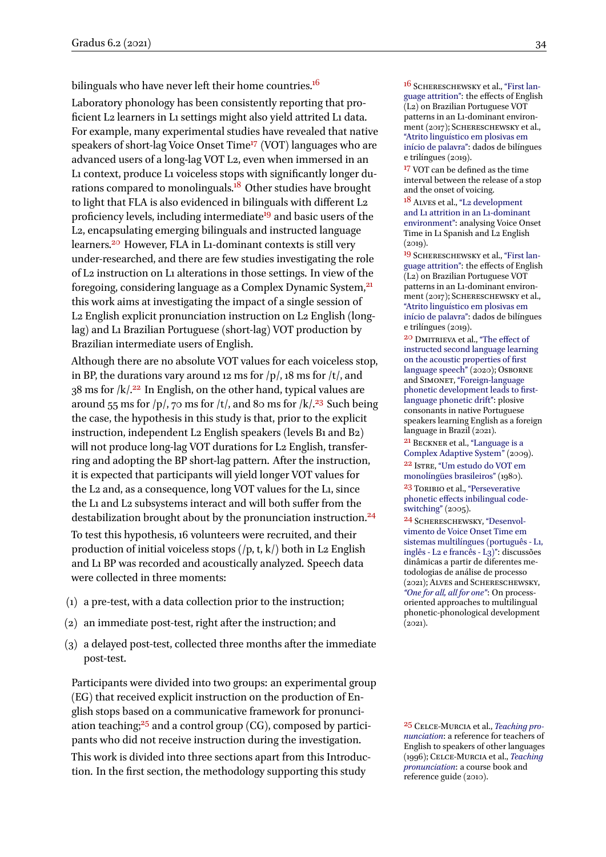bilinguals who have never left their home countries.<sup>16</sup> 16 SCHERESCHEWSKY et al., ["First lan-](#page-17-5)

Laboratory phonology has been consistently reporting that proficient L2 learners in L1 settings might also yield attrited L1 data. For example, many experimental studies have revealed that native speakers of short-lag Voice Onset Time<sup>17</sup> (VOT) languages who are advanced users of a long-lag VOT L2, even when immersed in an L1 context, produce L1 voiceless stops with significantly longer durations compared to monolinguals.<sup>18</sup> Other studies have brought to light that FLA is also evidenced in bilinguals with different L2 proficiency levels, including intermediate<sup>19</sup> and basic users of the L2, encapsulating emerging bilinguals and instructed language learners.<sup>20</sup> However, FLA in L1-dominant contexts is still very under-researched, and there are few studies investigating the role of L2 instruction on L1 alterations in those settings. In view of the foregoing, considering language as a Complex Dynamic System,<sup>21</sup> this work aims at investigating the impact of a single session of L2 English explicit pronunciation instruction on L2 English (longlag) and L1 Brazilian Portuguese (short-lag) VOT production by Brazilian intermediate users of English.

Although there are no absolute VOT values for each voiceless stop, in BP, the durations vary around 12 ms for  $/p/$ , 18 ms for  $/t/$ , and  $38$  ms for  $/k/^{22}$  In English, on the other hand, typical values are around 55 ms for  $/p/$ , 70 ms for  $/t/$ , and 80 ms for  $/k/23$  Such being the case, the hypothesis in this study is that, prior to the explicit instruction, independent L2 English speakers (levels B1 and B2) will not produce long-lag VOT durations for L2 English, transferring and adopting the BP short-lag pattern. After the instruction, it is expected that participants will yield longer VOT values for the L2 and, as a consequence, long VOT values for the L1, since the L1 and L2 subsystems interact and will both suffer from the destabilization brought about by the pronunciation instruction.<sup>24</sup> 24 SCHERESCHEWSKY, ["Desenvol-](#page-17-9)

To test this hypothesis, 16 volunteers were recruited, and their production of initial voiceless stops  $(|p, t, k\rangle)$  both in L2 English and L1 BP was recorded and acoustically analyzed. Speech data were collected in three moments:

- (1) a pre-test, with a data collection prior to the instruction;
- (2) an immediate post-test, right after the instruction; and
- (3) a delayed post-test, collected three months after the immediate post-test.

Participants were divided into two groups: an experimental group (EG) that received explicit instruction on the production of English stops based on a communicative framework for pronunciation teaching;<sup>25</sup> and a control group (CG), composed by partici- <sup>25</sup> Celce-Murcia et al., *[Teaching pro](#page-15-5)*pants who did not receive instruction during the investigation.

This work is divided into three sections apart from this Introduction. In the first section, the methodology supporting this study

[guage attrition"](#page-17-5): the effects of English (L2) on Brazilian Portuguese VOT patterns in an L1-dominant environment (2017); SCHERESCHEWSKY et al., ["Atrito linguı́stico em plosivas em](#page-17-6) início de palavra": dados de bilíngues e trilíngues (2019).

<sup>17</sup> VOT can be defined as the time interval between the release of a stop and the onset of voicing.

18 Alves et al., ["L2 development](#page-15-2) [and L1 attrition in an L1-dominant](#page-15-2) [environment"](#page-15-2): analysing Voice Onset Time in L1 Spanish and L2 English  $(2019)$ .

19 Schereschewsky et al., ["First lan](#page-17-5)[guage attrition"](#page-17-5): the effects of English (L2) on Brazilian Portuguese VOT patterns in an L1-dominant environment (2017); SCHERESCHEWSKY et al., ["Atrito linguı́stico em plosivas em](#page-17-6) início de palavra": dados de bilíngues e trilíngues (2019).

20 Dmitrieva et al., ["The effect of](#page-16-8) [instructed second language learning](#page-16-8) [on the acoustic properties of first](#page-16-8) [language speech"](#page-16-8) (2020); OSBORNE and Simonet, ["Foreign-language](#page-17-7) [phonetic development leads to first](#page-17-7)[language phonetic drift":](#page-17-7) plosive consonants in native Portuguese speakers learning English as a foreign language in Brazil (2021).

21 Beckner et al., ["Language is a](#page-15-3) [Complex Adaptive System"](#page-15-3) (2009). 22 Istre, ["Um estudo do VOT em](#page-16-9) [monolíngües brasileiros"](#page-16-9) (1980). <sup>23</sup> TORIBIO et al., ["Perseverative](#page-17-8) [phonetic effects inbilingual code](#page-17-8)[switching"](#page-17-8) (2005).

[vimento de Voice Onset Time em](#page-17-9) [sistemas multilíngues \(português - L1,](#page-17-9) [inglês - L2 e francês - L3\)"](#page-17-9): discussões dinâmicas a partir de diferentes metodologias de análise de processo (2021); Alves and Schereschewsky, *["One for all, all for one"](#page-15-4)*: On processoriented approaches to multilingual phonetic-phonological development  $(2021)$ .

*[nunciation](#page-15-5)*: a reference for teachers of English to speakers of other languages (1996); Celce-Murcia et al., *[Teaching](#page-15-6) [pronunciation](#page-15-6)*: a course book and reference guide (2010).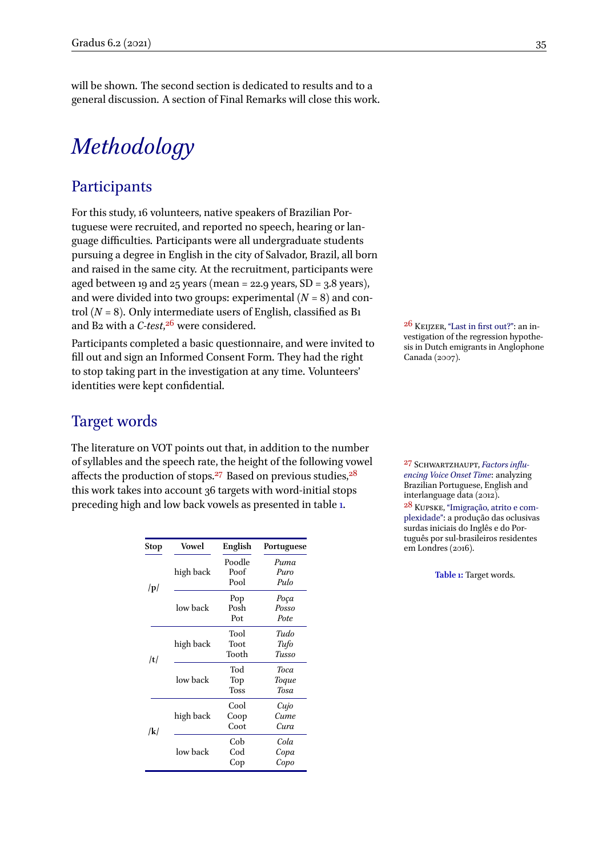will be shown. The second section is dedicated to results and to a general discussion. A section of Final Remarks will close this work.

# *Methodology*

#### **Participants**

For this study, 16 volunteers, native speakers of Brazilian Portuguese were recruited, and reported no speech, hearing or language difficulties. Participants were all undergraduate students pursuing a degree in English in the city of Salvador, Brazil, all born and raised in the same city. At the recruitment, participants were aged between 19 and 25 years (mean = 22.9 years,  $SD = 3.8$  years), and were divided into two groups: experimental  $(N = 8)$  and control  $(N = 8)$ . Only intermediate users of English, classified as B1 and B<sub>2</sub> with a *C-test*,<sup>26</sup> were considered.

Participants completed a basic questionnaire, and were invited to fill out and sign an Informed Consent Form. They had the right to stop taking part in the investigation at any time. Volunteers' identities were kept confidential.

#### Target words

<span id="page-3-0"></span>The literature on VOT points out that, in addition to the number of syllables and the speech rate, the height of the following vowel affects the production of stops.<sup>27</sup> Based on previous studies,  $28$ this work takes into account 36 targets with word-initial stops preceding high and low back vowels as presented in table [1](#page-3-0).

| Stop        | Vowel     | English | Portuguese |
|-------------|-----------|---------|------------|
| $ {\bf p} $ |           | Poodle  | Puma       |
|             | high back | Poof    | Puro       |
|             |           | Pool    | Pulo       |
|             |           | Pop     | Poça       |
|             | low back  | Posh    | Posso      |
|             |           | Pot     | Pote       |
| /t/         |           | Tool    | Tudo       |
|             | high back | Toot    | Tufo       |
|             |           | Tooth   | Tusso      |
|             |           | Tod     | Toca       |
|             | low back  | Top     | Toque      |
|             |           | Toss    | Tosa       |
| /k/         |           | Cool    | Cujo       |
|             | high back | Coop    | Cume       |
|             |           | Cura    |            |
|             |           | Cob     | Cola       |
|             | low back  | Cod     | Copa       |
|             |           | Cop     | Copo       |

 $26$  KEIJZER, ["Last in first out?":](#page-16-10) an investigation of the regression hypothesis in Dutch emigrants in Anglophone Canada (2007).

27 Schwartzhaupt, *[Factors influ](#page-17-10)[encing Voice Onset Time](#page-17-10)*: analyzing Brazilian Portuguese, English and interlanguage data (2012). 28 Kupske, ["Imigração, atrito e com](#page-16-11)[plexidade":](#page-16-11) a produção das oclusivas surdas iniciais do Inglês e do Português por sul-brasileiros residentes em Londres (2016).

**Table 1:** Target words.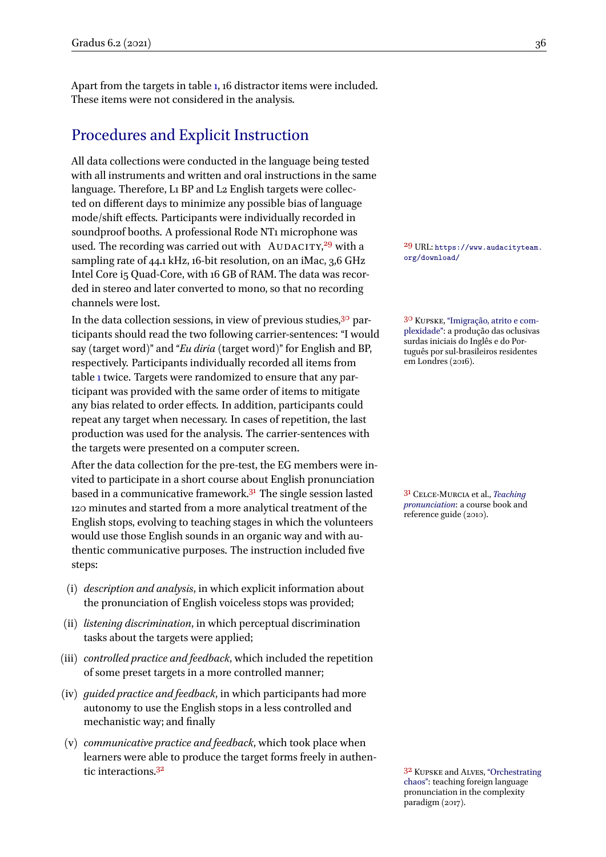Apart from the targets in table [1,](#page-3-0) 16 distractor items were included. These items were not considered in the analysis.

### Procedures and Explicit Instruction

All data collections were conducted in the language being tested with all instruments and written and oral instructions in the same language. Therefore, L1 BP and L2 English targets were collected on different days to minimize any possible bias of language mode/shift effects. Participants were individually recorded in soundproof booths. A professional Rode NT1 microphone was used. The recording was carried out with  $AUDACITY<sup>29</sup>$  with a  $^{29}$  URL: [https://www.audacityteam.](https://www.audacityteam.org/download/) sampling rate of 44.1 kHz, 16-bit resolution, on an iMac, 3,6 GHz Intel Core i5 Quad-Core, with 16 GB of RAM. The data was recorded in stereo and later converted to mono, so that no recording channels were lost.

In the data collection sessions, in view of previous studies,<sup>30</sup> par- <sup>30</sup> Kupske, ["Imigração, atrito e com](#page-16-11)ticipants should read the two following carrier-sentences: "I would say (target word)" and "*Eu diria* (target word)" for English and BP, respectively. Participants individually recorded all items from table [1](#page-3-0) twice. Targets were randomized to ensure that any participant was provided with the same order of items to mitigate any bias related to order effects. In addition, participants could repeat any target when necessary. In cases of repetition, the last production was used for the analysis. The carrier-sentences with the targets were presented on a computer screen.

After the data collection for the pre-test, the EG members were invited to participate in a short course about English pronunciation based in a communicative framework.<sup>31</sup> The single session lasted <sup>31</sup> CELCE-MURCIA et al., *[Teaching](#page-15-6)* 120 minutes and started from a more analytical treatment of the English stops, evolving to teaching stages in which the volunteers would use those English sounds in an organic way and with authentic communicative purposes. The instruction included five steps:

- (i) *description and analysis*, in which explicit information about the pronunciation of English voiceless stops was provided;
- (ii) *listening discrimination*, in which perceptual discrimination tasks about the targets were applied;
- (iii) *controlled practice and feedback*, which included the repetition of some preset targets in a more controlled manner;
- (iv) *guided practice and feedback*, in which participants had more autonomy to use the English stops in a less controlled and mechanistic way; and finally
- (v) *communicative practice and feedback*, which took place when learners were able to produce the target forms freely in authen-tic interactions.<sup>32</sup> Superiors and Alves, ["Orchestrating](#page-16-2) and Alves, "Orchestrating and Alves, "Orchestrating"

[plexidade":](#page-16-11) a produção das oclusivas surdas iniciais do Inglês e do Português por sul-brasileiros residentes em Londres (2016).

*[pronunciation](#page-15-6)*: a course book and

[chaos":](#page-16-2) teaching foreign language pronunciation in the complexity paradigm (2017).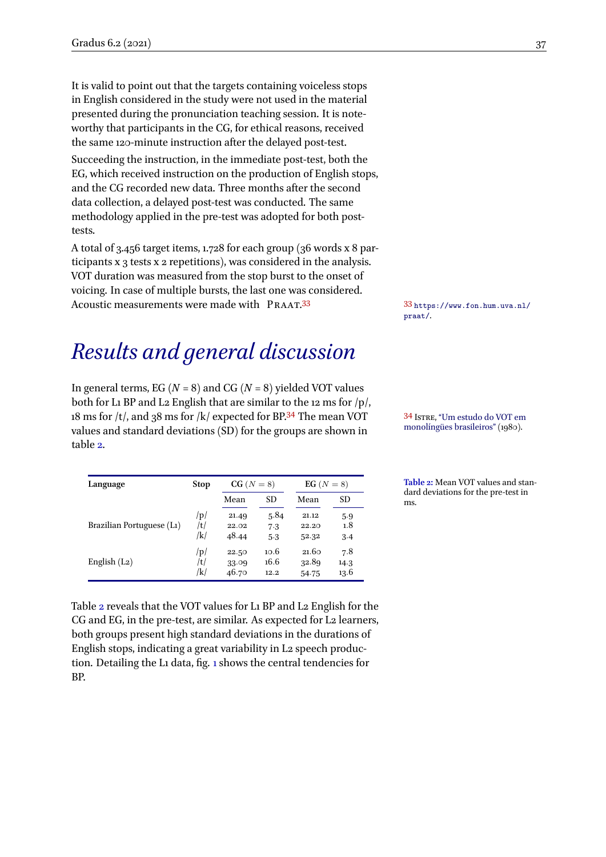It is valid to point out that the targets containing voiceless stops in English considered in the study were not used in the material presented during the pronunciation teaching session. It is noteworthy that participants in the CG, for ethical reasons, received the same 120-minute instruction after the delayed post-test.

Succeeding the instruction, in the immediate post-test, both the EG, which received instruction on the production of English stops, and the CG recorded new data. Three months after the second data collection, a delayed post-test was conducted. The same methodology applied in the pre-test was adopted for both posttests.

A total of 3.456 target items, 1.728 for each group (36 words x 8 participants x 3 tests x 2 repetitions), was considered in the analysis. VOT duration was measured from the stop burst to the onset of voicing. In case of multiple bursts, the last one was considered. Acoustic measurements were made with PRAAT.<sup>33</sup> 33 [https://www.fon.hum.uva.nl/](https://www.fon.hum.uva.nl/praat/)

# *Results and general discussion*

In general terms, EG ( $N = 8$ ) and CG ( $N = 8$ ) yielded VOT values both for L1 BP and L2 English that are similar to the 12 ms for  $/p/$ , 18 ms for  $/t$ , and 38 ms for  $/k$  expected for BP.<sup>34</sup> The mean VOT  $\frac{34 \text{ Is} \text{TRE}}{24 \text{ Is} \text{TRE}}$  ["Um estudo do VOT em](#page-16-9) values and standard deviations (SD) for the groups are shown in table [2.](#page-5-0)

<span id="page-5-0"></span>

| Language                  | <b>Stop</b> | $CG(N=8)$ |      | EG $(N=8)$ |           |
|---------------------------|-------------|-----------|------|------------|-----------|
|                           |             | Mean      | SD   | Mean       | <b>SD</b> |
| Brazilian Portuguese (L1) | p           | 21.49     | 5.84 | 21.12      | 5.9       |
|                           | /t/         | 22.02     | 7.3  | 22.20      | 1.8       |
|                           | /k/         | 48.44     | 5.3  | 52.32      | 3.4       |
| English $(L_2)$           | /p/         | 22.50     | 10.6 | 21.60      | 7.8       |
|                           | /t/         | 33.09     | 16.6 | 32.89      | 14.3      |
|                           | /k/         | 46.70     | 12.2 | 54.75      | 13.6      |

Table [2](#page-5-0) reveals that the VOT values for L1 BP and L2 English for the CG and EG, in the pre-test, are similar. As expected for L2 learners, both groups present high standard deviations in the durations of English stops, indicating a great variability in L2 speech production. Detailing the L1 data, fig. [1](#page-6-0) shows the central tendencies for BP.

[praat/](https://www.fon.hum.uva.nl/praat/).

**Table 2:** Mean VOT values and standard deviations for the pre-test in ms.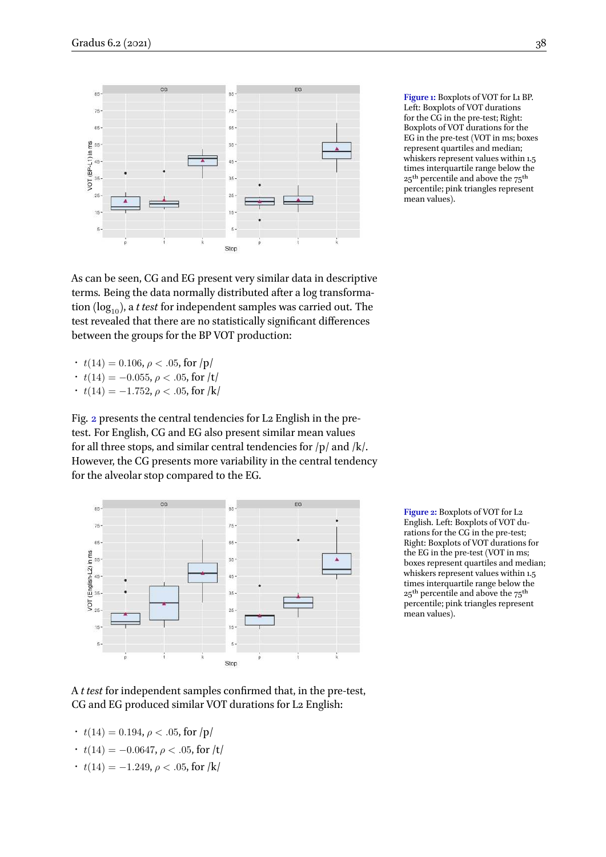<span id="page-6-0"></span>

**Figure 1:** Boxplots of VOT for L1 BP. Left: Boxplots of VOT durations for the CG in the pre-test; Right: Boxplots of VOT durations for the EG in the pre-test (VOT in ms; boxes represent quartiles and median; whiskers represent values within 1.5 times interquartile range below the  $25<sup>th</sup>$  percentile and above the  $75<sup>th</sup>$ percentile; pink triangles represent mean values).

As can be seen, CG and EG present very similar data in descriptive terms. Being the data normally distributed after a log transformation  $(log_{10})$ , a *t test* for independent samples was carried out. The test revealed that there are no statistically significant differences between the groups for the BP VOT production:

- $t(14) = 0.106$ ,  $\rho < .05$ , for  $|p|$
- $t(14) = -0.055, \rho < .05$ , for /t/
- $t(14) = -1.752, \rho < .05$ , for /k/

Fig. [2](#page-6-1) presents the central tendencies for L2 English in the pretest. For English, CG and EG also present similar mean values for all three stops, and similar central tendencies for  $/p/$  and  $/k/$ . However, the CG presents more variability in the central tendency for the alveolar stop compared to the EG.

<span id="page-6-1"></span>

**Figure 2:** Boxplots of VOT for L2 English. Left: Boxplots of VOT durations for the CG in the pre-test; Right: Boxplots of VOT durations for the EG in the pre-test (VOT in ms; boxes represent quartiles and median; whiskers represent values within 1.5 times interquartile range below the 25<sup>th</sup> percentile and above the 75<sup>th</sup> percentile; pink triangles represent mean values).

A *t test* for independent samples confirmed that, in the pre-test, CG and EG produced similar VOT durations for L2 English:

- $t(14) = 0.194$ ,  $\rho < .05$ , for  $|p|$
- $t(14) = -0.0647, \rho < .05$ , for /t/
- $t(14) = -1.249, \rho < .05$ , for /k/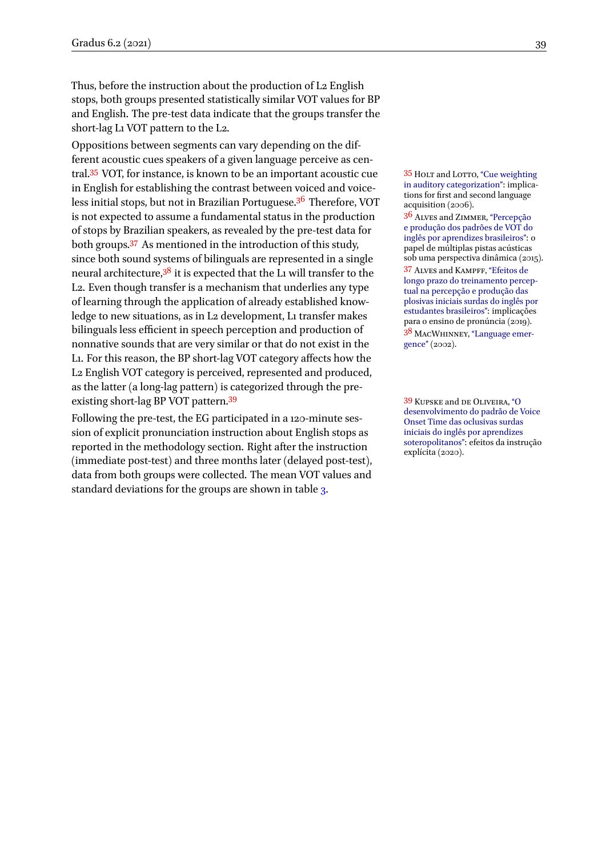Thus, before the instruction about the production of L2 English stops, both groups presented statistically similar VOT values for BP and English. The pre-test data indicate that the groups transfer the short-lag L1 VOT pattern to the L2.

Oppositions between segments can vary depending on the different acoustic cues speakers of a given language perceive as cen-tral.<sup>35</sup> VOT, for instance, is known to be an important acoustic cue <sup>35</sup> Holt and Lorro, ["Cue weighting](#page-16-12) in English for establishing the contrast between voiced and voiceless initial stops, but not in Brazilian Portuguese.<sup>36</sup> Therefore, VOT is not expected to assume a fundamental status in the production of stops by Brazilian speakers, as revealed by the pre-test data for both groups.<sup>37</sup> As mentioned in the introduction of this study, since both sound systems of bilinguals are represented in a single neural architecture,<sup>38</sup> it is expected that the L1 will transfer to the L2. Even though transfer is a mechanism that underlies any type of learning through the application of already established knowledge to new situations, as in L2 development, L1 transfer makes bilinguals less efficient in speech perception and production of nonnative sounds that are very similar or that do not exist in the L1. For this reason, the BP short-lag VOT category affects how the L2 English VOT category is perceived, represented and produced, as the latter (a long-lag pattern) is categorized through the pre-existing short-lag BP VOT pattern.<sup>39</sup> 39 Kupske and DE OLIVEIRA, ["O](#page-16-13)

Following the pre-test, the EG participated in a 120-minute session of explicit pronunciation instruction about English stops as reported in the methodology section. Right after the instruction (immediate post-test) and three months later (delayed post-test), data from both groups were collected. The mean VOT values and standard deviations for the groups are shown in table [3](#page-8-0).

[in auditory categorization"](#page-16-12): implications for first and second language acquisition (2006).

36 Alves and Zimmer, ["Percepção](#page-15-7) [e produção dos padrões de VOT do](#page-15-7) [inglês por aprendizes brasileiros"](#page-15-7): o papel de múltiplas pistas acústicas sob uma perspectiva dinâmica (2015). 37 Alves and Kampff, ["Efeitos de](#page-15-8) [longo prazo do treinamento percep](#page-15-8)[tual na percepção e produção das](#page-15-8) [plosivas iniciais surdas do inglês por](#page-15-8) [estudantes brasileiros"](#page-15-8): implicações para o ensino de pronúncia (2019). 38 MacWhinney, ["Language emer](#page-17-0)[gence"](#page-17-0) (2002).

[desenvolvimento do padrão de Voice](#page-16-13) [Onset Time das oclusivas surdas](#page-16-13) [iniciais do inglês por aprendizes](#page-16-13) [soteropolitanos":](#page-16-13) efeitos da instrução  $explícita (2020)$ .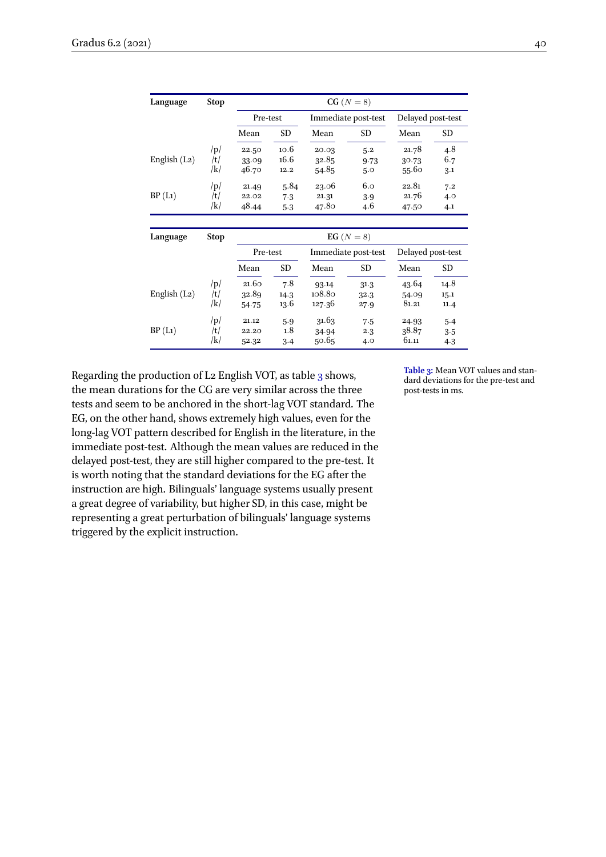<span id="page-8-0"></span>

| Language        | <b>Stop</b> | $CG(N=8)$ |           |        |                     |                   |      |  |  |
|-----------------|-------------|-----------|-----------|--------|---------------------|-------------------|------|--|--|
|                 |             | Pre-test  |           |        | Immediate post-test | Delayed post-test |      |  |  |
|                 |             | Mean      | <b>SD</b> | Mean   | SD                  | Mean              | SD.  |  |  |
|                 | /p/         | 22.50     | 10.6      | 20.03  | 5.2                 | 21.78             | 4.8  |  |  |
| English $(L_2)$ | /t/         | 33.09     | 16.6      | 32.85  | 9.73                | 30.73             | 6.7  |  |  |
|                 | /k/         | 46.70     | 12.2      | 54.85  | 5.0                 | 55.60             | 3.1  |  |  |
|                 | /p/         | 21.49     | 5.84      | 23.06  | 6.0                 | 22.81             | 7.2  |  |  |
| BP(L1)          | /t/         | 22.02     | 7.3       | 21.31  | 3.9                 | 21.76             | 4.0  |  |  |
|                 | /k/         | 48.44     | 5.3       | 47.80  | 4.6                 | 47.50             | 4.1  |  |  |
| Language        | <b>Stop</b> |           |           |        | EG $(N=8)$          |                   |      |  |  |
|                 |             | Pre-test  |           |        | Immediate post-test | Delayed post-test |      |  |  |
|                 |             | Mean      | SD        | Mean   | SD.                 | Mean              | SD.  |  |  |
|                 | /p/         | 21.60     | 7.8       | 93.14  | 31.3                | 43.64             | 14.8 |  |  |
| English $(L_2)$ | /t/         | 32.89     | 14.3      | 108.80 | 32.3                | 54.09             | 15.1 |  |  |
|                 | /k/         | 54.75     | 13.6      | 127.36 | 27.9                | 81.21             | 11.4 |  |  |
|                 | /p/         | 21.12     | 5.9       | 31.63  | 7.5                 | 24.93             | 5.4  |  |  |
| BP(L1)          | /t/         | 22.20     | 1.8       | 34.94  | 2.3                 | 38.87             | 3.5  |  |  |
|                 | /k/         | 52.32     | 3.4       | 50.65  | 4.0                 | 61.11             | 4.3  |  |  |

Regarding the production of L<sub>2</sub> English VOT, as table [3](#page-8-0) shows, the mean durations for the CG are very similar across the three tests and seem to be anchored in the short-lag VOT standard. The EG, on the other hand, shows extremely high values, even for the long-lag VOT pattern described for English in the literature, in the immediate post-test. Although the mean values are reduced in the delayed post-test, they are still higher compared to the pre-test. It is worth noting that the standard deviations for the EG after the instruction are high. Bilinguals' language systems usually present a great degree of variability, but higher SD, in this case, might be representing a great perturbation of bilinguals' language systems triggered by the explicit instruction.

**Table 3:** Mean VOT values and standard deviations for the pre-test and post-tests in ms.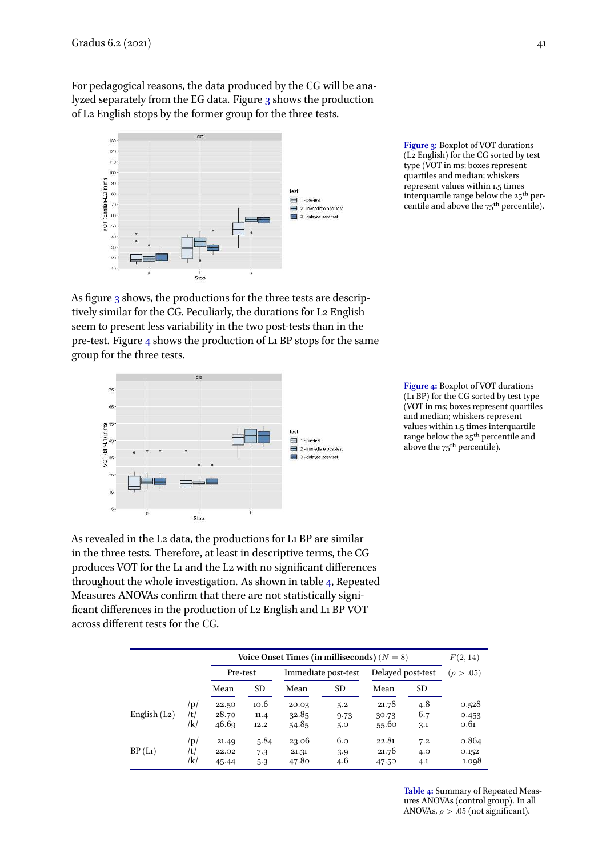For pedagogical reasons, the data produced by the CG will be analyzed separately from the EG data. Figure [3](#page-9-0) shows the production of L2 English stops by the former group for the three tests.

<span id="page-9-0"></span>

**Figure 3:** Boxplot of VOT durations (L2 English) for the CG sorted by test type (VOT in ms; boxes represent quartiles and median; whiskers represent values within 1.5 times interquartile range below the 25th percentile and above the 75<sup>th</sup> percentile).

As figure [3](#page-9-0) shows, the productions for the three tests are descriptively similar for the CG. Peculiarly, the durations for L2 English seem to present less variability in the two post-tests than in the pre-test. Figure [4](#page-9-1) shows the production of L1 BP stops for the same group for the three tests.

<span id="page-9-1"></span>

**Figure 4:** Boxplot of VOT durations (L1 BP) for the CG sorted by test type (VOT in ms; boxes represent quartiles and median; whiskers represent values within 1.5 times interquartile range below the 25<sup>th</sup> percentile and above the 75<sup>th</sup> percentile).

As revealed in the L2 data, the productions for L1 BP are similar in the three tests. Therefore, at least in descriptive terms, the CG produces VOT for the L1 and the L2 with no significant differences throughout the whole investigation. As shown in table [4,](#page-9-2) Repeated Measures ANOVAs confirm that there are not statistically significant differences in the production of L2 English and L1 BP VOT across different tests for the CG.

<span id="page-9-2"></span>

|                 |                   | Voice Onset Times (in milliseconds) $(N = 8)$ |                      |                         |                          |                         |                          | F(2, 14)                |
|-----------------|-------------------|-----------------------------------------------|----------------------|-------------------------|--------------------------|-------------------------|--------------------------|-------------------------|
|                 |                   | Pre-test                                      |                      |                         | Immediate post-test      | Delayed post-test       |                          | $(\rho > .05)$          |
|                 |                   | Mean                                          | <b>SD</b>            | Mean                    | SD                       | Mean                    | <b>SD</b>                |                         |
| English $(L_2)$ | /p/<br>/t/<br>/k/ | 22.50<br>28.70<br>46.69                       | 10.6<br>11.4<br>12.2 | 20.03<br>32.85<br>54.85 | 5.2<br>9.73              | 21.78<br>30.73<br>55.60 | 4.8<br>6.7               | 0.528<br>0.453<br>0.61  |
| BP(L1)          | /p/<br>/t/<br>/k/ | 21.49<br>22.02<br>45.44                       | 5.84<br>7.3<br>5.3   | 23.06<br>21.31<br>47.80 | 5.0<br>6.0<br>3.9<br>4.6 | 22.81<br>21.76<br>47.50 | 3.1<br>7.2<br>4.0<br>4.1 | 0.864<br>0.152<br>1.098 |

**Table 4:** Summary of Repeated Measures ANOVAs (control group). In all ANOVAs,  $\rho > .05$  (not significant).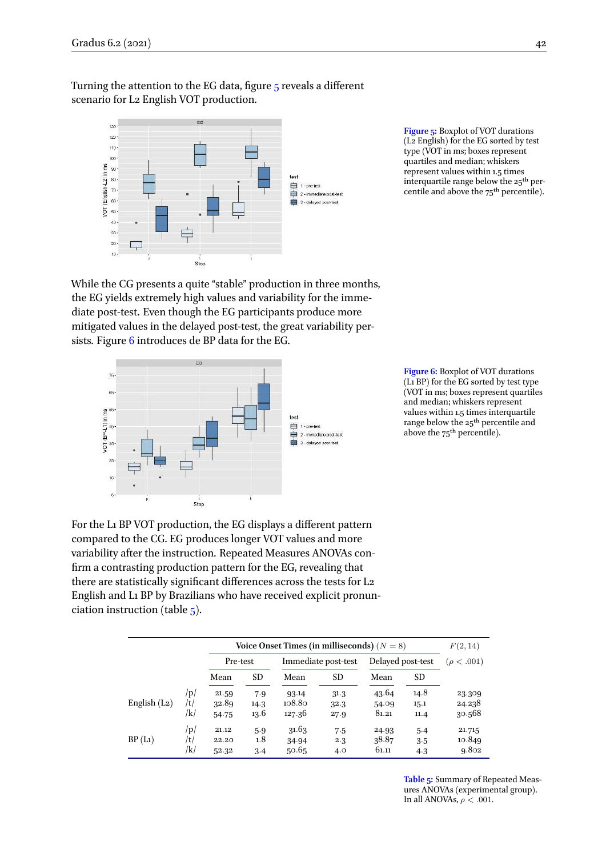Turning the attention to the EG data, figure [5](#page-10-0) reveals a different scenario for L2 English VOT production.

<span id="page-10-0"></span>

**Figure 5:** Boxplot of VOT durations (L2 English) for the EG sorted by test type (VOT in ms; boxes represent quartiles and median; whiskers represent values within 1.5 times interquartile range below the 25th percentile and above the 75th percentile).

While the CG presents a quite "stable" production in three months, the EG yields extremely high values and variability for the immediate post-test. Even though the EG participants produce more mitigated values in the delayed post-test, the great variability persists. Figure [6](#page-10-1) introduces de BP data for the EG.

<span id="page-10-1"></span>

**Figure 6:** Boxplot of VOT durations (L1 BP) for the EG sorted by test type (VOT in ms; boxes represent quartiles and median; whiskers represent values within 1.5 times interquartile range below the 25th percentile and above the 75<sup>th</sup> percentile).

For the L1 BP VOT production, the EG displays a different pattern compared to the CG. EG produces longer VOT values and more variability after the instruction. Repeated Measures ANOVAs confirm a contrasting production pattern for the EG, revealing that there are statistically significant differences across the tests for L2 English and L1 BP by Brazilians who have received explicit pronunciation instruction (table [5](#page-10-2)).

<span id="page-10-2"></span>

|                 |            | Voice Onset Times (in milliseconds) ( $N = 8$ ) |             |                     |              |                   |              | F(2, 14)         |
|-----------------|------------|-------------------------------------------------|-------------|---------------------|--------------|-------------------|--------------|------------------|
|                 |            | Pre-test                                        |             | Immediate post-test |              | Delayed post-test |              | $(\rho < .001)$  |
|                 |            | Mean                                            | <b>SD</b>   | Mean                | <b>SD</b>    | Mean              | <b>SD</b>    |                  |
| English $(L_2)$ | /p/<br>/t/ | 21.59<br>32.89                                  | 7.9<br>14.3 | 93.14<br>108.80     | 31.3         | 43.64<br>54.09    | 14.8<br>15.1 | 23.309<br>24.238 |
|                 | /k/        | 54.75                                           | 13.6        | 127.36              | 32.3<br>27.9 | 81.21             | 11.4         | 30.568           |
| BP(L1)          | /p/<br>/t/ | 21.12<br>22.20                                  | 5.9<br>1.8  | 31.63<br>34.94      | 7.5<br>2.3   | 24.93<br>38.87    | 5.4<br>3.5   | 21.715<br>10.849 |
|                 | /k/        | 52.32                                           | 3.4         | 50.65               | 4.0          | 61.11             | 4.3          | 9.802            |

**Table 5:** Summary of Repeated Measures ANOVAs (experimental group). In all ANOVAs,  $\rho < .001$ .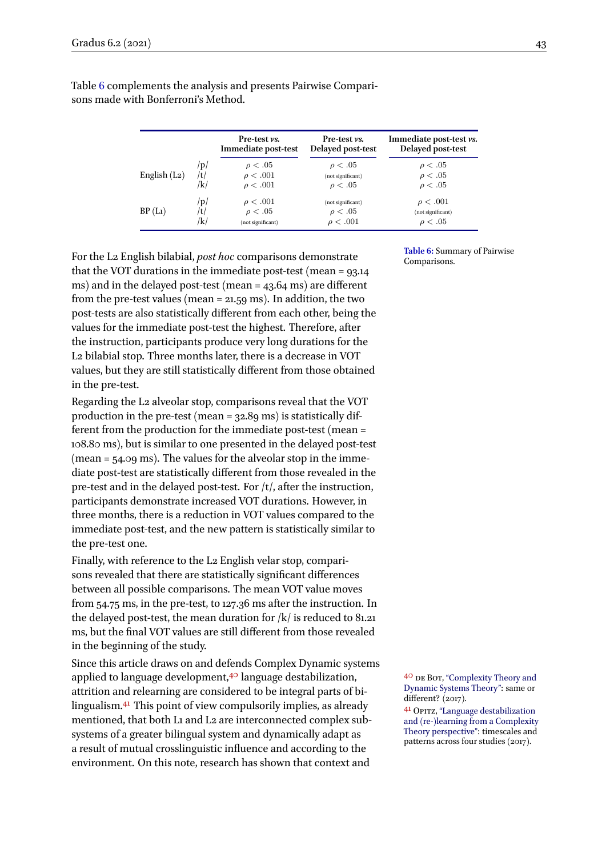|                 |     | Pre-test <i>vs.</i><br>Immediate post-test | Pre-test <i>vs.</i><br>Delayed post-test | Immediate post-test <i>vs</i> .<br>Delayed post-test |
|-----------------|-----|--------------------------------------------|------------------------------------------|------------------------------------------------------|
| English $(L_2)$ | /p/ | $\rho < .05$                               | $\rho < .05$                             | $\rho < .05$                                         |
|                 | /t/ | $\rho < .001$                              | (not significant)                        | $\rho < .05$                                         |
|                 | /k/ | $\rho < .001$                              | $\rho < .05$                             | $\rho < .05$                                         |
| BP(L1)          | /p/ | $\rho < .001$                              | (not significant)                        | $\rho < .001$                                        |
|                 | /t/ | $\rho < .05$                               | $\rho < .05$                             | (not significant)                                    |
|                 | /k/ | (not significant)                          | $\rho < .001$                            | $\rho < .05$                                         |

<span id="page-11-0"></span>Table [6](#page-11-0) complements the analysis and presents Pairwise Comparisons made with Bonferroni's Method.

For the L2 English bilabial, *post hoc* comparisons demonstrate that the VOT durations in the immediate post-test (mean = 93.14 ms) and in the delayed post-test (mean = 43.64 ms) are different from the pre-test values (mean  $=$  21.59 ms). In addition, the two post-tests are also statistically different from each other, being the values for the immediate post-test the highest. Therefore, after the instruction, participants produce very long durations for the L2 bilabial stop. Three months later, there is a decrease in VOT values, but they are still statistically different from those obtained in the pre-test.

Regarding the L2 alveolar stop, comparisons reveal that the VOT production in the pre-test (mean = 32.89 ms) is statistically different from the production for the immediate post-test (mean = 108.80 ms), but is similar to one presented in the delayed post-test (mean = 54.09 ms). The values for the alveolar stop in the immediate post-test are statistically different from those revealed in the pre-test and in the delayed post-test. For /t/, after the instruction, participants demonstrate increased VOT durations. However, in three months, there is a reduction in VOT values compared to the immediate post-test, and the new pattern is statistically similar to the pre-test one.

Finally, with reference to the L2 English velar stop, comparisons revealed that there are statistically significant differences between all possible comparisons. The mean VOT value moves from 54.75 ms, in the pre-test, to 127.36 ms after the instruction. In the delayed post-test, the mean duration for  $/k/$  is reduced to 81.21 ms, but the final VOT values are still different from those revealed in the beginning of the study.

Since this article draws on and defends Complex Dynamic systems applied to language development, $40$  language destabilization,  $40$  DE Bot, ["Complexity Theory and](#page-15-0) attrition and relearning are considered to be integral parts of bi-<br>different?  $(2017)$ . lingualism.<sup>41</sup> This point of view compulsorily implies, as already  $\frac{41}{41}$  Opitz, ["Language destabilization](#page-17-11) mentioned, that both L1 and L2 are interconnected complex subsystems of a greater bilingual system and dynamically adapt as a result of mutual crosslinguistic influence and according to the environment. On this note, research has shown that context and

**Table 6:** Summary of Pairwise

[Dynamic Systems Theory"](#page-15-0): same or

[and \(re-\)learning from a Complexity](#page-17-11) [Theory perspective"](#page-17-11): timescales and patterns across four studies (2017).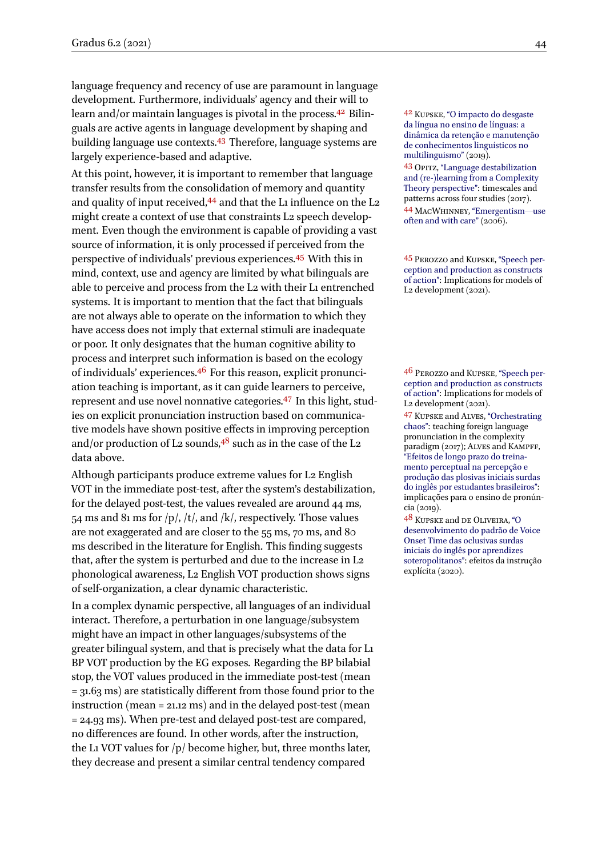language frequency and recency of use are paramount in language development. Furthermore, individuals' agency and their will to learn and/or maintain languages is pivotal in the process.<sup>42</sup> Bilin-  $42$  Kupske, ["O impacto do desgaste](#page-16-14) guals are active agents in language development by shaping and building language use contexts.<sup>43</sup> Therefore, language systems are largely experience-based and adaptive.

At this point, however, it is important to remember that language transfer results from the consolidation of memory and quantity and quality of input received, $44$  and that the L1 influence on the L2 made quality of input research, and that the Li initiative of the Li and the MACWHINNEY, ["Emergentism](#page-17-12)—use might create a context of use that constraints L2 speech develop-<br>[often and with care"](#page-17-12) (2006). ment. Even though the environment is capable of providing a vast source of information, it is only processed if perceived from the perspective of individuals' previous experiences.<sup>45</sup> With this in 45 PEROZZO and KUPSKE, ["Speech per](#page-17-13)mind, context, use and agency are limited by what bilinguals are able to perceive and process from the L2 with their L1 entrenched systems. It is important to mention that the fact that bilinguals are not always able to operate on the information to which they have access does not imply that external stimuli are inadequate or poor. It only designates that the human cognitive ability to process and interpret such information is based on the ecology of individuals' experiences.<sup>46</sup> For this reason, explicit pronunci-  $46$  PEROZZO and KUPSKE, ["Speech per](#page-17-13)ation teaching is important, as it can guide learners to perceive, represent and use novel nonnative categories.<sup>47</sup> In this light, studies on explicit pronunciation instruction based on communicative models have shown positive effects in improving perception and/or production of L2 sounds,  $48$  such as in the case of the L2 data above.

Although participants produce extreme values for L2 English VOT in the immediate post-test, after the system's destabilization, for the delayed post-test, the values revealed are around 44 ms, 54 ms and 81 ms for  $|p|$ ,  $|t|$ , and  $|k|$ , respectively. Those values are not exaggerated and are closer to the 55 ms, 70 ms, and 80 ms described in the literature for English. This finding suggests that, after the system is perturbed and due to the increase in L2 phonological awareness, L2 English VOT production shows signs of self-organization, a clear dynamic characteristic.

In a complex dynamic perspective, all languages of an individual interact. Therefore, a perturbation in one language/subsystem might have an impact in other languages/subsystems of the greater bilingual system, and that is precisely what the data for L1 BP VOT production by the EG exposes. Regarding the BP bilabial stop, the VOT values produced in the immediate post-test (mean = 31.63 ms) are statistically different from those found prior to the instruction (mean = 21.12 ms) and in the delayed post-test (mean = 24.93 ms). When pre-test and delayed post-test are compared, no differences are found. In other words, after the instruction, the L1 VOT values for  $/p/$  become higher, but, three months later, they decrease and present a similar central tendency compared

[da língua no ensino de línguas: a](#page-16-14) [dinâmica da retenção e manutenção](#page-16-14) [de conhecimentos linguísticos no](#page-16-14) [multilinguismo"](#page-16-14) (2019).

43 Opitz, ["Language destabilization](#page-17-11) [and \(re-\)learning from a Complexity](#page-17-11) [Theory perspective"](#page-17-11): timescales and patterns across four studies (2017).

[ception and production as constructs](#page-17-13) [of action":](#page-17-13) Implications for models of L2 development (2021).

[ception and production as constructs](#page-17-13) [of action":](#page-17-13) Implications for models of L2 development (2021).

47 Kupske and Alves, ["Orchestrating](#page-16-2) [chaos":](#page-16-2) teaching foreign language pronunciation in the complexity paradigm (2017); Alves and Kampff, ["Efeitos de longo prazo do treina](#page-15-8)[mento perceptual na percepção e](#page-15-8) [produção das plosivas iniciais surdas](#page-15-8) [do inglês por estudantes brasileiros"](#page-15-8): implicações para o ensino de pronúncia (2019).

48 Kupske and de Oliveira, ["O](#page-16-13) [desenvolvimento do padrão de Voice](#page-16-13) [Onset Time das oclusivas surdas](#page-16-13) [iniciais do inglês por aprendizes](#page-16-13) [soteropolitanos":](#page-16-13) efeitos da instrução explícita (2020).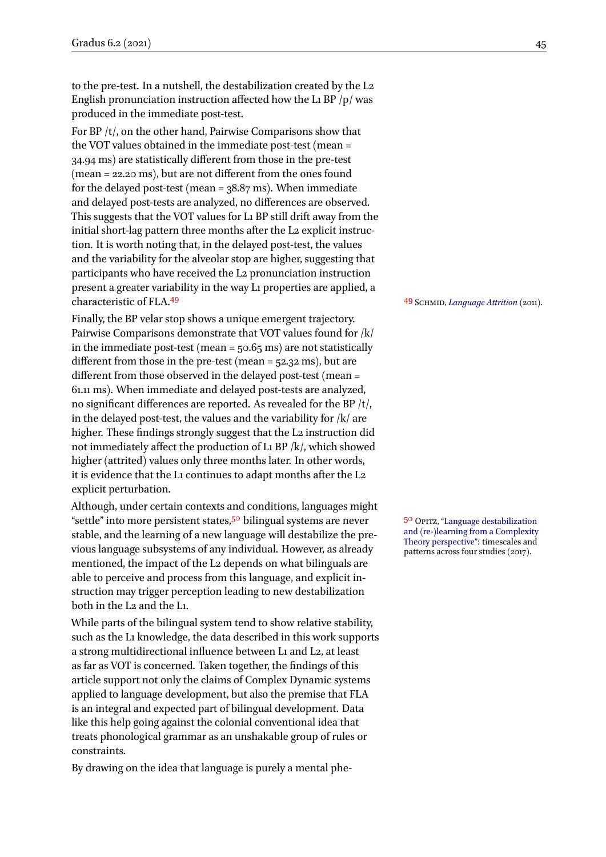to the pre-test. In a nutshell, the destabilization created by the L2 English pronunciation instruction affected how the L1 BP /p/ was produced in the immediate post-test.

For BP /t/, on the other hand, Pairwise Comparisons show that the VOT values obtained in the immediate post-test (mean = 34.94 ms) are statistically different from those in the pre-test (mean = 22.20 ms), but are not different from the ones found for the delayed post-test (mean =  $38.87$  ms). When immediate and delayed post-tests are analyzed, no differences are observed. This suggests that the VOT values for L1 BP still drift away from the initial short-lag pattern three months after the L<sub>2</sub> explicit instruction. It is worth noting that, in the delayed post-test, the values and the variability for the alveolar stop are higher, suggesting that participants who have received the L2 pronunciation instruction present a greater variability in the way L1 properties are applied, a characteristic of FLA.<sup>49</sup> <sup>49</sup> Schmid, *[Language Attrition](#page-17-3)* (2011).

Finally, the BP velar stop shows a unique emergent trajectory. Pairwise Comparisons demonstrate that VOT values found for /k/ in the immediate post-test (mean =  $50.65$  ms) are not statistically different from those in the pre-test (mean = 52.32 ms), but are different from those observed in the delayed post-test (mean = 61.11 ms). When immediate and delayed post-tests are analyzed, no significant differences are reported. As revealed for the BP /t/, in the delayed post-test, the values and the variability for  $|k|$  are higher. These findings strongly suggest that the L<sub>2</sub> instruction did not immediately affect the production of L1 BP /k/, which showed higher (attrited) values only three months later. In other words, it is evidence that the L1 continues to adapt months after the L2 explicit perturbation.

Although, under certain contexts and conditions, languages might "settle" into more persistent states,<sup>50</sup> bilingual systems are never <sup>50</sup> Opitz, ["Language destabilization](#page-17-11)" stable, and the learning of a new language will destabilize the previous language subsystems of any individual. However, as already mentioned, the impact of the L2 depends on what bilinguals are able to perceive and process from this language, and explicit instruction may trigger perception leading to new destabilization both in the L2 and the L1.

While parts of the bilingual system tend to show relative stability, such as the L1 knowledge, the data described in this work supports a strong multidirectional influence between L1 and L2, at least as far as VOT is concerned. Taken together, the findings of this article support not only the claims of Complex Dynamic systems applied to language development, but also the premise that FLA is an integral and expected part of bilingual development. Data like this help going against the colonial conventional idea that treats phonological grammar as an unshakable group of rules or constraints.

By drawing on the idea that language is purely a mental phe-

[and \(re-\)learning from a Complexity](#page-17-11) [Theory perspective"](#page-17-11): timescales and patterns across four studies (2017).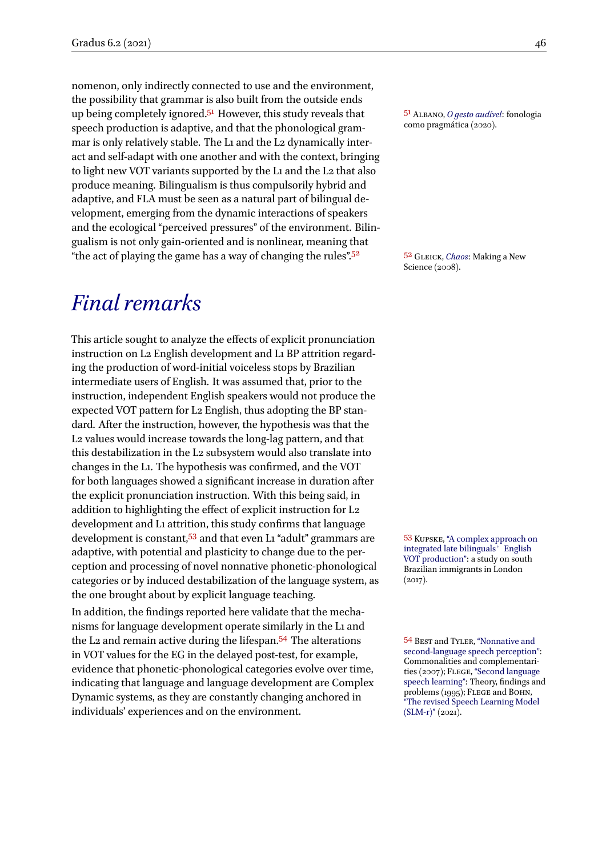nomenon, only indirectly connected to use and the environment, the possibility that grammar is also built from the outside ends up being completely ignored.<sup>51</sup> However, this study reveals that  $\frac{51 \text{ AtBANO}, 0 \text{ gets} \text{ and } 51 \text{}}{2020}$ . speech production is adaptive, and that the phonological grammar is only relatively stable. The L1 and the L2 dynamically interact and self-adapt with one another and with the context, bringing to light new VOT variants supported by the L1 and the L2 that also produce meaning. Bilingualism is thus compulsorily hybrid and adaptive, and FLA must be seen as a natural part of bilingual development, emerging from the dynamic interactions of speakers and the ecological "perceived pressures" of the environment. Bilingualism is not only gain-oriented and is nonlinear, meaning that "the act of playing the game has a way of changing the rules".<sup>52</sup> 5<sup>2</sup> GLEICK, *[Chaos](#page-16-15)*: Making a New

## *Final remarks*

This article sought to analyze the effects of explicit pronunciation instruction on L2 English development and L1 BP attrition regarding the production of word-initial voiceless stops by Brazilian intermediate users of English. It was assumed that, prior to the instruction, independent English speakers would not produce the expected VOT pattern for L2 English, thus adopting the BP standard. After the instruction, however, the hypothesis was that the L2 values would increase towards the long-lag pattern, and that this destabilization in the L2 subsystem would also translate into changes in the L1. The hypothesis was confirmed, and the VOT for both languages showed a significant increase in duration after the explicit pronunciation instruction. With this being said, in addition to highlighting the effect of explicit instruction for L2 development and L1 attrition, this study confirms that language development is constant,<sup>53</sup> and that even L1 "adult" grammars are 53 KUPSKE, ["A complex approach on](#page-16-16) adaptive, with potential and plasticity to change due to the perception and processing of novel nonnative phonetic-phonological categories or by induced destabilization of the language system, as the one brought about by explicit language teaching.

In addition, the findings reported here validate that the mechanisms for language development operate similarly in the L1 and the L2 and remain active during the lifespan.<sup>54</sup> The alterations 54 BEST and TYLER, ["Nonnative and](#page-15-1) in VOT values for the EG in the delayed post-test, for example, evidence that phonetic-phonological categories evolve over time, indicating that language and language development are Complex Dynamic systems, as they are constantly changing anchored in individuals' experiences and on the environment.

Science (2008).

[integrated late bilinguals](#page-16-16)' English [VOT production":](#page-16-16) a study on south Brazilian immigrants in London  $(2017).$ 

[second-language speech perception"](#page-15-1): Commonalities and complementari-ties (2007); FLEGE, ["Second language](#page-16-0) [speech learning"](#page-16-0): Theory, findings and problems (1995); FLEGE and BOHN, ["The revised Speech Learning Model](#page-16-1) [\(SLM-r\)"](#page-16-1) (2021).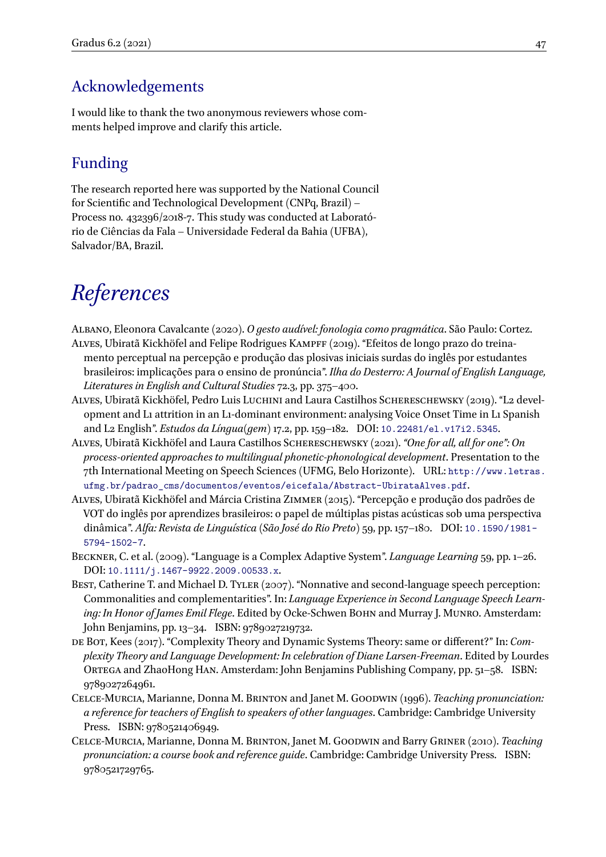### Acknowledgements

I would like to thank the two anonymous reviewers whose comments helped improve and clarify this article.

### Funding

The research reported here was supported by the National Council for Scientific and Technological Development (CNPq, Brazil) – Process no. 432396/2018-7. This study was conducted at Laboratório de Ciências da Fala – Universidade Federal da Bahia (UFBA), Salvador/BA, Brazil.

# *References*

- <span id="page-15-9"></span><span id="page-15-8"></span>Albano, Eleonora Cavalcante (2020). *O gesto audível: fonologia como pragmática*. São Paulo: Cortez. Alves, Ubiratã Kickhöfel and Felipe Rodrigues Kampff (2019). "Efeitos de longo prazo do treinamento perceptual na percepção e produção das plosivas iniciais surdas do inglês por estudantes brasileiros: implicações para o ensino de pronúncia". *Ilha do Desterro: A Journal of English Language, Literatures in English and Cultural Studies* 72.3, pp. 375–400.
- <span id="page-15-2"></span>Alves, Ubiratã Kickhöfel, Pedro Luis Luchini and Laura Castilhos Schereschewsky (2019). "L2 development and L1 attrition in an L1-dominant environment: analysing Voice Onset Time in L1 Spanish and L2 English". *Estudos da Língua(gem)* 17.2, pp. 159–182. DOI: [10.22481/el.v17i2.5345](https://doi.org/10.22481/el.v17i2.5345).
- <span id="page-15-4"></span>Alves, Ubiratã Kickhöfel and Laura Castilhos Schereschewsky (2021). *"One for all, all for one": On process-oriented approaches to multilingual phonetic-phonological development*. Presentation to the 7th International Meeting on Speech Sciences (UFMG, Belo Horizonte). URL: [http://www.letras.](http://www.letras.ufmg.br/padrao_cms/documentos/eventos/eicefala/Abstract-UbirataAlves.pdf) [ufmg.br/padrao\\_cms/documentos/eventos/eicefala/Abstract-UbirataAlves.pdf](http://www.letras.ufmg.br/padrao_cms/documentos/eventos/eicefala/Abstract-UbirataAlves.pdf).
- <span id="page-15-7"></span>Alves, Ubiratã Kickhöfel and Márcia Cristina Zimmer (2015). "Percepção e produção dos padrões de VOT do inglês por aprendizes brasileiros: o papel de múltiplas pistas acústicas sob uma perspectiva dinâmica". *Alfa: Revista de Linguı́stica (São José do Rio Preto)* 59, pp. 157–180. DOI: [10.1590/1981-](https://doi.org/10.1590/1981-5794-1502-7) [5794-1502-7](https://doi.org/10.1590/1981-5794-1502-7).
- <span id="page-15-3"></span>Beckner, C. et al. (2009). "Language is a Complex Adaptive System". *Language Learning* 59, pp. 1–26. DOI: [10.1111/j.1467-9922.2009.00533.x](https://doi.org/10.1111/j.1467-9922.2009.00533.x).
- <span id="page-15-1"></span>BEST, Catherine T. and Michael D. TYLER (2007). "Nonnative and second-language speech perception: Commonalities and complementarities". In: *Language Experience in Second Language Speech Learning: In Honor of James Emil Flege*. Edited by Ocke-Schwen BOHN and Murray J. MUNRO. Amsterdam: John Benjamins, pp. 13–34. ISBN: 9789027219732.
- <span id="page-15-0"></span>de Bot, Kees (2017). "Complexity Theory and Dynamic Systems Theory: same or different?" In: *Complexity Theory and Language Development: In celebration of Diane Larsen-Freeman*. Edited by Lourdes Ortega and ZhaoHong Han. Amsterdam: John Benjamins Publishing Company, pp. 51–58. ISBN: 9789027264961.
- <span id="page-15-5"></span>Celce-Murcia, Marianne, Donna M. Brinton and Janet M. Goodwin (1996). *Teaching pronunciation: a reference for teachers of English to speakers of other languages*. Cambridge: Cambridge University Press. ISBN: 9780521406949.
- <span id="page-15-6"></span>Celce-Murcia, Marianne, Donna M. Brinton, Janet M. Goodwin and Barry Griner (2010). *Teaching pronunciation: a course book and reference guide*. Cambridge: Cambridge University Press. ISBN: 9780521729765.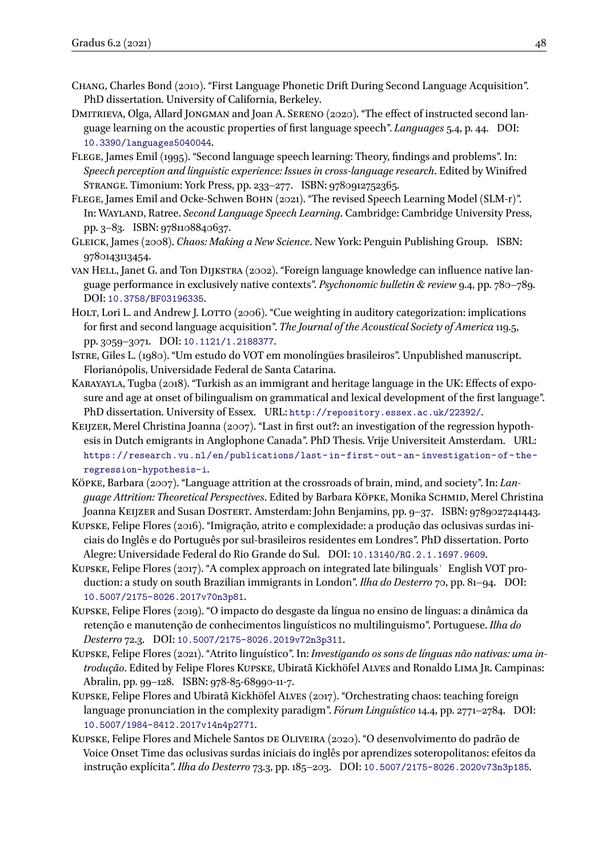- <span id="page-16-7"></span>Chang, Charles Bond (2010). "First Language Phonetic Drift During Second Language Acquisition". PhD dissertation. University of California, Berkeley.
- <span id="page-16-8"></span>DMITRIEVA, Olga, Allard JONGMAN and Joan A. SERENO (2020). "The effect of instructed second language learning on the acoustic properties of first language speech". *Languages* 5.4, p. 44. DOI: [10.3390/languages5040044](https://doi.org/10.3390/languages5040044).
- <span id="page-16-0"></span>Flege, James Emil (1995). "Second language speech learning: Theory, findings and problems". In: *Speech perception and linguistic experience: Issues in cross-language research*. Edited by Winifred Strange. Timonium: York Press, pp. 233–277. ISBN: 9780912752365.
- <span id="page-16-1"></span>Flege, James Emil and Ocke-Schwen Bohn (2021). "The revised Speech Learning Model (SLM-r)". In: Wayland, Ratree. *Second Language Speech Learning*. Cambridge: Cambridge University Press, pp. 3–83. ISBN: 9781108840637.
- <span id="page-16-15"></span>Gleick, James (2008). *Chaos: Making a New Science*. New York: Penguin Publishing Group. ISBN: 9780143113454.
- <span id="page-16-3"></span>van Hell, Janet G. and Ton Dijkstra (2002). "Foreign language knowledge can influence native language performance in exclusively native contexts". *Psychonomic bulletin & review* 9.4, pp. 780–789. DOI: [10.3758/BF03196335](https://doi.org/10.3758/BF03196335).
- <span id="page-16-12"></span>HOLT, Lori L. and Andrew J. LOTTO (2006). "Cue weighting in auditory categorization: implications for first and second language acquisition". *The Journal of the Acoustical Society of America* 119.5, pp. 3059–3071. DOI: [10.1121/1.2188377](https://doi.org/10.1121/1.2188377).
- <span id="page-16-9"></span>Istre, Giles L. (1980). "Um estudo do VOT em monolíngües brasileiros". Unpublished manuscript. Florianópolis, Universidade Federal de Santa Catarina.
- <span id="page-16-5"></span>Karayayla, Tugba (2018). "Turkish as an immigrant and heritage language in the UK: Effects of exposure and age at onset of bilingualism on grammatical and lexical development of the first language". PhD dissertation. University of Essex. URL: <http://repository.essex.ac.uk/22392/>.
- <span id="page-16-10"></span>Keijzer, Merel Christina Joanna (2007). "Last in first out?: an investigation of the regression hypothesis in Dutch emigrants in Anglophone Canada". PhD Thesis. Vrije Universiteit Amsterdam. URL: [https://research.vu.nl/en/publications/last- in- first- out- an- investigation- of- the](https://research.vu.nl/en/publications/last-in-first-out-an-investigation-of-the-regression-hypothesis-i)[regression-hypothesis-i](https://research.vu.nl/en/publications/last-in-first-out-an-investigation-of-the-regression-hypothesis-i).
- <span id="page-16-4"></span>Köpke, Barbara (2007). "Language attrition at the crossroads of brain, mind, and society". In: *Language Attrition: Theoretical Perspectives*. Edited by Barbara Köpke, Monika Schmid, Merel Christina Joanna Keijzer and Susan Dostert. Amsterdam: John Benjamins, pp. 9-37. ISBN: 9789027241443.
- <span id="page-16-11"></span>Kupske, Felipe Flores (2016). "Imigração, atrito e complexidade: a produção das oclusivas surdas iniciais do Inglês e do Português por sul-brasileiros residentes em Londres". PhD dissertation. Porto Alegre: Universidade Federal do Rio Grande do Sul. DOI: [10.13140/RG.2.1.1697.9609](https://doi.org/10.13140/RG.2.1.1697.9609).
- <span id="page-16-16"></span>KUPSKE, Felipe Flores (2017). "A complex approach on integrated late bilinguals' English VOT production: a study on south Brazilian immigrants in London". *Ilha do Desterro* 70, pp. 81–94. DOI: [10.5007/2175-8026.2017v70n3p81](https://doi.org/10.5007/2175-8026.2017v70n3p81).
- <span id="page-16-14"></span>Kupske, Felipe Flores (2019). "O impacto do desgaste da língua no ensino de línguas: a dinâmica da retenção e manutenção de conhecimentos linguísticos no multilinguismo". Portuguese. *Ilha do Desterro* 72.3. DOI: [10.5007/2175-8026.2019v72n3p311](https://doi.org/10.5007/2175-8026.2019v72n3p311).
- <span id="page-16-6"></span>Kupske, Felipe Flores (2021). "Atrito linguístico". In: *Investigando os sons de línguas não nativas: uma introdução*. Edited by Felipe Flores Kupske, Ubiratã Kickhöfel Alves and Ronaldo Lima Jr. Campinas: Abralin, pp. 99–128. ISBN: 978-85-68990-11-7.
- <span id="page-16-2"></span>Kupske, Felipe Flores and Ubiratã Kickhöfel Alves (2017). "Orchestrating chaos: teaching foreign language pronunciation in the complexity paradigm". *Fórum Linguı́stico* 14.4, pp. 2771–2784. DOI: [10.5007/1984-8412.2017v14n4p2771](https://doi.org/10.5007/1984-8412.2017v14n4p2771).
- <span id="page-16-13"></span>Kupske, Felipe Flores and Michele Santos de Oliveira (2020). "O desenvolvimento do padrão de Voice Onset Time das oclusivas surdas iniciais do inglês por aprendizes soteropolitanos: efeitos da instrução explı́cita". *Ilha do Desterro* 73.3, pp. 185–203. DOI: [10.5007/2175-8026.2020v73n3p185](https://doi.org/10.5007/2175-8026.2020v73n3p185).